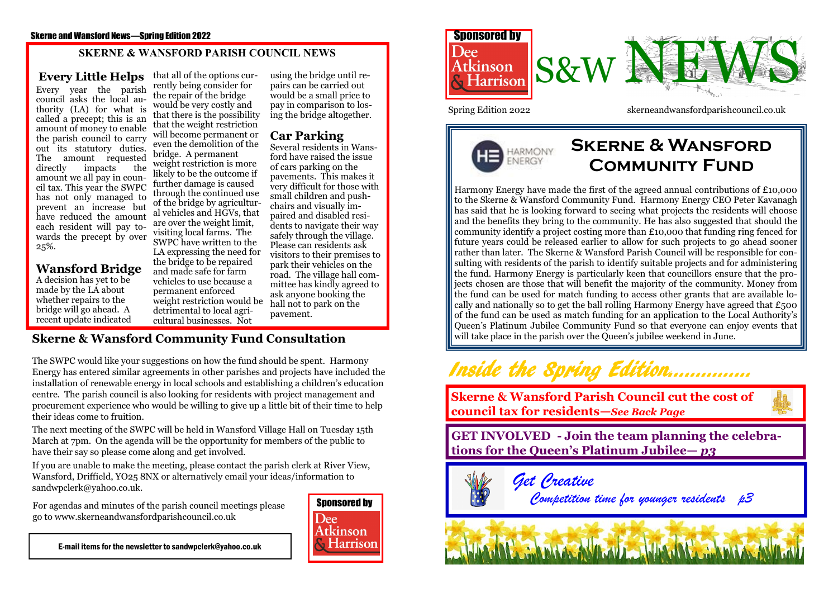#### Skerne and Wansford News—Spring Edition 2022

### **SKERNE & WANSFORD PARISH COUNCIL NEWS**

**Every Little Helps** Every year the parish council asks the local authority (LA) for what is called a precept; this is an amount of money to enable the parish council to carry out its statutory duties. The amount requested<br>directly impacts the impacts amount we all pay in council tax. This year the SWPC has not only managed to prevent an increase but have reduced the amount each resident will pay towards the precept by over 25%.

**Wansford Bridge** A decision has yet to be made by the LA about whether repairs to the bridge will go ahead. A recent update indicated

that all of the options currently being consider for the repair of the bridge would be very costly and that there is the possibility that the weight restriction will become permanent or even the demolition of the bridge. A permanent weight restriction is more likely to be the outcome if further damage is caused through the continued use of the bridge by agricultural vehicles and HGVs, that are over the weight limit, visiting local farms. The SWPC have written to the LA expressing the need for the bridge to be repaired and made safe for farm vehicles to use because a permanent enforced weight restriction would be detrimental to local agricultural businesses. Not

using the bridge until repairs can be carried out would be a small price to pay in comparison to losing the bridge altogether.

## **Car Parking**

Several residents in Wansford have raised the issue of cars parking on the pavements. This makes it very difficult for those with small children and pushchairs and visually impaired and disabled residents to navigate their way safely through the village. Please can residents ask visitors to their premises to park their vehicles on the road. The village hall committee has kindly agreed to ask anyone booking the hall not to park on the pavement.

## **Skerne & Wansford Community Fund Consultation**

The SWPC would like your suggestions on how the fund should be spent. Harmony Energy has entered similar agreements in other parishes and projects have included the installation of renewable energy in local schools and establishing a children's education centre. The parish council is also looking for residents with project management and procurement experience who would be willing to give up a little bit of their time to help their ideas come to fruition.

The next meeting of the SWPC will be held in Wansford Village Hall on Tuesday 15th March at 7pm. On the agenda will be the opportunity for members of the public to have their say so please come along and get involved.

If you are unable to make the meeting, please contact the parish clerk at River View, Wansford, Driffield, YO25 8NX or alternatively email your ideas/information to sandwpclerk@yahoo.co.uk.

For agendas and minutes of the parish council meetings please go to www.skerneandwansfordparishcouncil.co.uk



E-mail items for the newsletter to sandwpclerk@yahoo.co.uk





## **Skerne & Wansford Community Fund**

Harmony Energy have made the first of the agreed annual contributions of £10,000 to the Skerne & Wansford Community Fund. Harmony Energy CEO Peter Kavanagh has said that he is looking forward to seeing what projects the residents will choose and the benefits they bring to the community. He has also suggested that should the community identify a project costing more than £10,000 that funding ring fenced for future years could be released earlier to allow for such projects to go ahead sooner rather than later. The Skerne & Wansford Parish Council will be responsible for consulting with residents of the parish to identify suitable projects and for administering the fund. Harmony Energy is particularly keen that councillors ensure that the projects chosen are those that will benefit the majority of the community. Money from the fund can be used for match funding to access other grants that are available locally and nationally so to get the ball rolling Harmony Energy have agreed that  $\epsilon_{500}$ of the fund can be used as match funding for an application to the Local Authority's Queen's Platinum Jubilee Community Fund so that everyone can enjoy events that will take place in the parish over the Queen's jubilee weekend in June.

## Inside the Spring Edition……………

**Skerne & Wansford Parish Council cut the cost of council tax for residents—***See Back Page*

**GET INVOLVED - Join the team planning the celebrations for the Queen's Platinum Jubilee—** *p3*



 *Get Creative Competition time for younger residents p3*